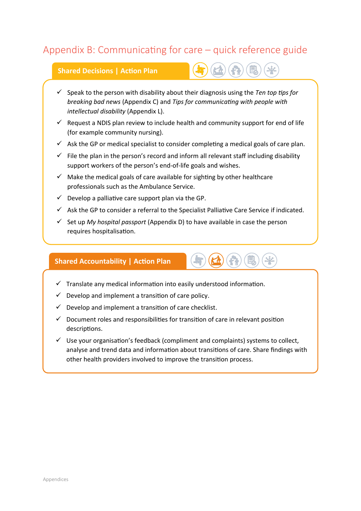# Appendix B: Communicating for care – quick reference guide

## **Shared Decisions | Action Plan**



- $\checkmark$  Speak to the person with disability about their diagnosis using the *Ten top tips for breaking bad news* (Appendix C) and *Tips for communicating with people with intellectual disability* (Appendix L).
- $\checkmark$  Request a NDIS plan review to include health and community support for end of life (for example community nursing).
- $\checkmark$  Ask the GP or medical specialist to consider completing a medical goals of care plan.
- $\checkmark$  File the plan in the person's record and inform all relevant staff including disability support workers of the person's end-of-life goals and wishes.
- $\checkmark$  Make the medical goals of care available for sighting by other healthcare professionals such as the Ambulance Service.
- $\checkmark$  Develop a palliative care support plan via the GP.
- $\checkmark$  Ask the GP to consider a referral to the Specialist Palliative Care Service if indicated.
- $\checkmark$  Set up *My hospital passport* (Appendix D) to have available in case the person requires hospitalisation.

## **Shared Accountability | Action Plan**

- $\checkmark$  Translate any medical information into easily understood information.
- Develop and implement a transition of care policy.
- $\checkmark$  Develop and implement a transition of care checklist.

Consider adopting and using my *Care alert kit* (Appendix E)

- $\checkmark$  Document roles and responsibilities for transition of care in relevant position descriptions.
- $\checkmark$  Use your organisation's feedback (compliment and complaints) systems to collect, analyse and trend data and information about transitions of care. Share findings with other health providers involved to improve the transition process.